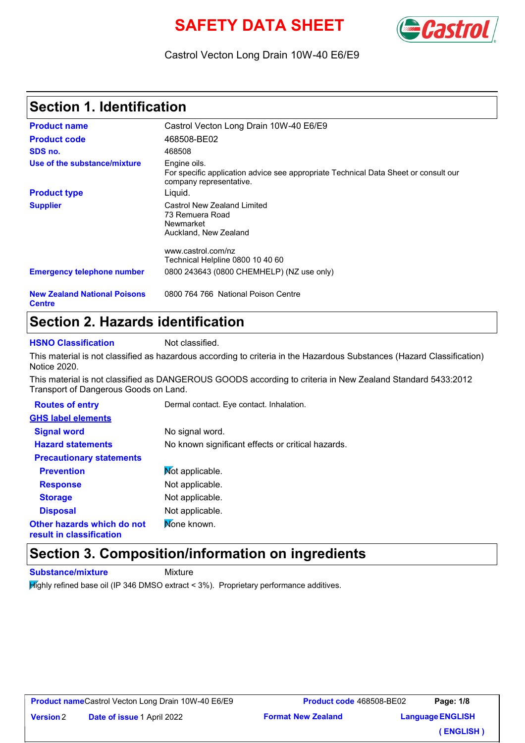# **SAFETY DATA SHEET**



#### Castrol Vecton Long Drain 10W-40 E6/E9

## **Section 1. Identification**

| <b>Product name</b>                                  | Castrol Vecton Long Drain 10W-40 E6/E9                                                                                         |  |  |  |
|------------------------------------------------------|--------------------------------------------------------------------------------------------------------------------------------|--|--|--|
| <b>Product code</b>                                  | 468508-BE02                                                                                                                    |  |  |  |
| SDS no.                                              | 468508                                                                                                                         |  |  |  |
| Use of the substance/mixture                         | Engine oils.<br>For specific application advice see appropriate Technical Data Sheet or consult our<br>company representative. |  |  |  |
| <b>Product type</b>                                  | Liguid.                                                                                                                        |  |  |  |
| <b>Supplier</b>                                      | Castrol New Zealand Limited<br>73 Remuera Road<br>Newmarket<br>Auckland, New Zealand                                           |  |  |  |
|                                                      | www.castrol.com/nz                                                                                                             |  |  |  |
|                                                      | Technical Helpline 0800 10 40 60                                                                                               |  |  |  |
| <b>Emergency telephone number</b>                    | 0800 243643 (0800 CHEMHELP) (NZ use only)                                                                                      |  |  |  |
| <b>New Zealand National Poisons</b><br><b>Centre</b> | 0800 764 766 National Poison Centre                                                                                            |  |  |  |

## **Section 2. Hazards identification**

**HSNO Classification** Not classified.

This material is not classified as hazardous according to criteria in the Hazardous Substances (Hazard Classification) Notice 2020.

This material is not classified as DANGEROUS GOODS according to criteria in New Zealand Standard 5433:2012 Transport of Dangerous Goods on Land.

| <b>Routes of entry</b>                                 | Dermal contact. Eye contact. Inhalation.          |  |  |
|--------------------------------------------------------|---------------------------------------------------|--|--|
| <b>GHS label elements</b>                              |                                                   |  |  |
| <b>Signal word</b>                                     | No signal word.                                   |  |  |
| <b>Hazard statements</b>                               | No known significant effects or critical hazards. |  |  |
| <b>Precautionary statements</b>                        |                                                   |  |  |
| <b>Prevention</b>                                      | Not applicable.                                   |  |  |
| <b>Response</b>                                        | Not applicable.                                   |  |  |
| <b>Storage</b>                                         | Not applicable.                                   |  |  |
| <b>Disposal</b>                                        | Not applicable.                                   |  |  |
| Other hazards which do not<br>result in classification | None known.                                       |  |  |

#### **Section 3. Composition/information on ingredients**

**Substance/mixture** Mixture

**Version**

 $H$ ighly refined base oil (IP 346 DMSO extract < 3%). Proprietary performance additives.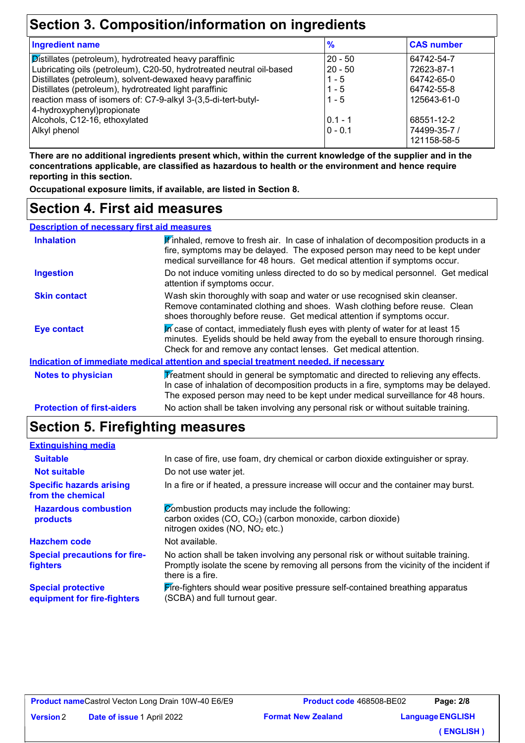## **Section 3. Composition/information on ingredients**

| $\frac{9}{6}$ | <b>CAS number</b> |
|---------------|-------------------|
| $20 - 50$     | 64742-54-7        |
| $20 - 50$     | 72623-87-1        |
| $1 - 5$       | 64742-65-0        |
| $1 - 5$       | 64742-55-8        |
| $1 - 5$       | 125643-61-0       |
|               |                   |
| $0.1 - 1$     | 68551-12-2        |
| $0 - 0.1$     | 74499-35-7 /      |
|               | 121158-58-5       |
|               |                   |

**There are no additional ingredients present which, within the current knowledge of the supplier and in the concentrations applicable, are classified as hazardous to health or the environment and hence require reporting in this section.**

**Occupational exposure limits, if available, are listed in Section 8.**

#### **Section 4. First aid measures**

| <b>Description of necessary first aid measures</b> |                                                                                                                                                                                                                                                             |  |  |  |  |
|----------------------------------------------------|-------------------------------------------------------------------------------------------------------------------------------------------------------------------------------------------------------------------------------------------------------------|--|--|--|--|
| <b>Inhalation</b>                                  | K'inhaled, remove to fresh air. In case of inhalation of decomposition products in a<br>fire, symptoms may be delayed. The exposed person may need to be kept under<br>medical surveillance for 48 hours. Get medical attention if symptoms occur.          |  |  |  |  |
| <b>Ingestion</b>                                   | Do not induce vomiting unless directed to do so by medical personnel. Get medical<br>attention if symptoms occur.                                                                                                                                           |  |  |  |  |
| <b>Skin contact</b>                                | Wash skin thoroughly with soap and water or use recognised skin cleanser.<br>Remove contaminated clothing and shoes. Wash clothing before reuse. Clean<br>shoes thoroughly before reuse. Get medical attention if symptoms occur.                           |  |  |  |  |
| <b>Eye contact</b>                                 | In case of contact, immediately flush eyes with plenty of water for at least 15<br>minutes. Eyelids should be held away from the eyeball to ensure thorough rinsing.<br>Check for and remove any contact lenses. Get medical attention.                     |  |  |  |  |
|                                                    | Indication of immediate medical attention and special treatment needed, if necessary                                                                                                                                                                        |  |  |  |  |
| <b>Notes to physician</b>                          | Treatment should in general be symptomatic and directed to relieving any effects.<br>In case of inhalation of decomposition products in a fire, symptoms may be delayed.<br>The exposed person may need to be kept under medical surveillance for 48 hours. |  |  |  |  |
| <b>Protection of first-aiders</b>                  | No action shall be taken involving any personal risk or without suitable training.                                                                                                                                                                          |  |  |  |  |

## **Section 5. Firefighting measures**

| <b>Extinguishing media</b>                               |                                                                                                                                                                                                   |
|----------------------------------------------------------|---------------------------------------------------------------------------------------------------------------------------------------------------------------------------------------------------|
| <b>Suitable</b>                                          | In case of fire, use foam, dry chemical or carbon dioxide extinguisher or spray.                                                                                                                  |
| <b>Not suitable</b>                                      | Do not use water jet.                                                                                                                                                                             |
| <b>Specific hazards arising</b><br>from the chemical     | In a fire or if heated, a pressure increase will occur and the container may burst.                                                                                                               |
| <b>Hazardous combustion</b><br>products                  | Combustion products may include the following:<br>carbon oxides (CO, CO <sub>2</sub> ) (carbon monoxide, carbon dioxide)<br>nitrogen oxides (NO, NO <sub>2</sub> etc.)                            |
| <b>Hazchem code</b>                                      | Not available.                                                                                                                                                                                    |
| <b>Special precautions for fire-</b><br><b>fighters</b>  | No action shall be taken involving any personal risk or without suitable training.<br>Promptly isolate the scene by removing all persons from the vicinity of the incident if<br>there is a fire. |
| <b>Special protective</b><br>equipment for fire-fighters | <b>Fire-fighters should wear positive pressure self-contained breathing apparatus</b><br>(SCBA) and full turnout gear.                                                                            |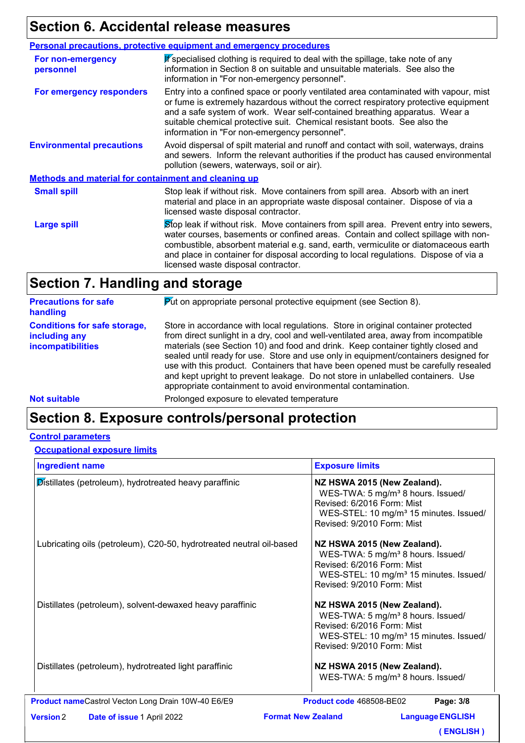# **Section 6. Accidental release measures**

|                                                      | <b>Personal precautions, protective equipment and emergency procedures</b>                                                                                                                                                                                                                                                                                                                         |  |  |  |
|------------------------------------------------------|----------------------------------------------------------------------------------------------------------------------------------------------------------------------------------------------------------------------------------------------------------------------------------------------------------------------------------------------------------------------------------------------------|--|--|--|
| For non-emergency<br>personnel                       | If specialised clothing is required to deal with the spillage, take note of any<br>information in Section 8 on suitable and unsuitable materials. See also the<br>information in "For non-emergency personnel".                                                                                                                                                                                    |  |  |  |
| For emergency responders                             | Entry into a confined space or poorly ventilated area contaminated with vapour, mist<br>or fume is extremely hazardous without the correct respiratory protective equipment<br>and a safe system of work. Wear self-contained breathing apparatus. Wear a<br>suitable chemical protective suit. Chemical resistant boots. See also the<br>information in "For non-emergency personnel".            |  |  |  |
| <b>Environmental precautions</b>                     | Avoid dispersal of spilt material and runoff and contact with soil, waterways, drains<br>and sewers. Inform the relevant authorities if the product has caused environmental<br>pollution (sewers, waterways, soil or air).                                                                                                                                                                        |  |  |  |
| Methods and material for containment and cleaning up |                                                                                                                                                                                                                                                                                                                                                                                                    |  |  |  |
| <b>Small spill</b>                                   | Stop leak if without risk. Move containers from spill area. Absorb with an inert<br>material and place in an appropriate waste disposal container. Dispose of via a<br>licensed waste disposal contractor.                                                                                                                                                                                         |  |  |  |
| <b>Large spill</b>                                   | Stop leak if without risk. Move containers from spill area. Prevent entry into sewers,<br>water courses, basements or confined areas. Contain and collect spillage with non-<br>combustible, absorbent material e.g. sand, earth, vermiculite or diatomaceous earth<br>and place in container for disposal according to local regulations. Dispose of via a<br>licensed waste disposal contractor. |  |  |  |

| <b>Precautions for safe</b><br>handling                                   | <b>Put on appropriate personal protective equipment (see Section 8).</b>                                                                                                                                                                                                                                                                                                                                                                                                                                                                                                                       |
|---------------------------------------------------------------------------|------------------------------------------------------------------------------------------------------------------------------------------------------------------------------------------------------------------------------------------------------------------------------------------------------------------------------------------------------------------------------------------------------------------------------------------------------------------------------------------------------------------------------------------------------------------------------------------------|
| <b>Conditions for safe storage,</b><br>including any<br>incompatibilities | Store in accordance with local regulations. Store in original container protected<br>from direct sunlight in a dry, cool and well-ventilated area, away from incompatible<br>materials (see Section 10) and food and drink. Keep container tightly closed and<br>sealed until ready for use. Store and use only in equipment/containers designed for<br>use with this product. Containers that have been opened must be carefully resealed<br>and kept upright to prevent leakage. Do not store in unlabelled containers. Use<br>appropriate containment to avoid environmental contamination. |

**Not suitable Not suitable** Prolonged exposure to elevated temperature

#### **Section 8. Exposure controls/personal protection**

#### **Control parameters**

#### **Occupational exposure limits**

| <b>Ingredient name</b>                                               | <b>Exposure limits</b>                                                                                                                                                                         |
|----------------------------------------------------------------------|------------------------------------------------------------------------------------------------------------------------------------------------------------------------------------------------|
| Distillates (petroleum), hydrotreated heavy paraffinic               | NZ HSWA 2015 (New Zealand).<br>WES-TWA: 5 mg/m <sup>3</sup> 8 hours. Issued/<br>Revised: 6/2016 Form: Mist<br>WES-STEL: 10 mg/m <sup>3</sup> 15 minutes. Issued/<br>Revised: 9/2010 Form: Mist |
| Lubricating oils (petroleum), C20-50, hydrotreated neutral oil-based | NZ HSWA 2015 (New Zealand).<br>WES-TWA: 5 mg/m <sup>3</sup> 8 hours. Issued/<br>Revised: 6/2016 Form: Mist<br>WES-STEL: 10 mg/m <sup>3</sup> 15 minutes. Issued/<br>Revised: 9/2010 Form: Mist |
| Distillates (petroleum), solvent-dewaxed heavy paraffinic            | NZ HSWA 2015 (New Zealand).<br>WES-TWA: 5 mg/m <sup>3</sup> 8 hours. Issued/<br>Revised: 6/2016 Form: Mist<br>WES-STEL: 10 mg/m <sup>3</sup> 15 minutes. Issued/<br>Revised: 9/2010 Form: Mist |
| Distillates (petroleum), hydrotreated light paraffinic               | NZ HSWA 2015 (New Zealand).<br>WES-TWA: 5 mg/m <sup>3</sup> 8 hours. Issued/                                                                                                                   |
| Product nameCastrol Vecton Long Drain 10W-40 E6/E9                   | Page: 3/8<br>Product code 468508-BE02                                                                                                                                                          |
| <b>Version 2</b><br><b>Date of issue 1 April 2022</b>                | <b>Format New Zealand</b><br><b>Language ENGLISH</b>                                                                                                                                           |
|                                                                      | <b>ENGLISH</b> )                                                                                                                                                                               |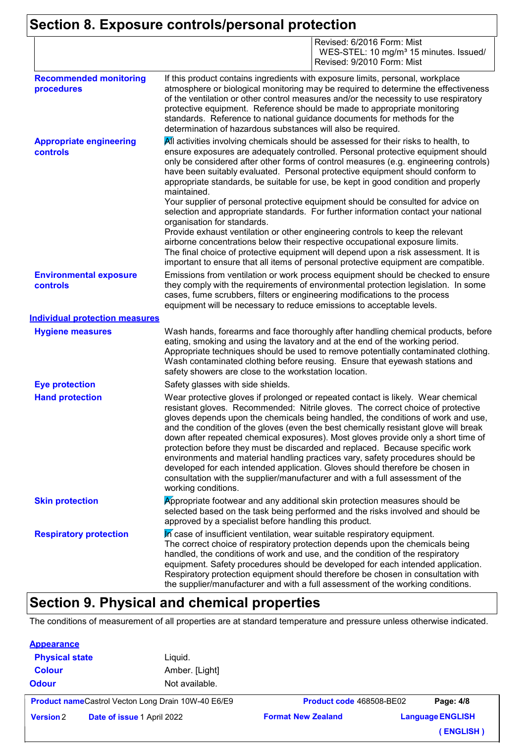# **Section 8. Exposure controls/personal protection**

|                                                   | Revised: 6/2016 Form: Mist<br>WES-STEL: 10 mg/m <sup>3</sup> 15 minutes. Issued/<br>Revised: 9/2010 Form: Mist                                                                                                                                                                                                                                                                                                                                                                                                                                                                                                                                                                                                                                                                                                                                                                                                                                                                                                |  |  |  |
|---------------------------------------------------|---------------------------------------------------------------------------------------------------------------------------------------------------------------------------------------------------------------------------------------------------------------------------------------------------------------------------------------------------------------------------------------------------------------------------------------------------------------------------------------------------------------------------------------------------------------------------------------------------------------------------------------------------------------------------------------------------------------------------------------------------------------------------------------------------------------------------------------------------------------------------------------------------------------------------------------------------------------------------------------------------------------|--|--|--|
| <b>Recommended monitoring</b><br>procedures       | If this product contains ingredients with exposure limits, personal, workplace<br>atmosphere or biological monitoring may be required to determine the effectiveness<br>of the ventilation or other control measures and/or the necessity to use respiratory<br>protective equipment. Reference should be made to appropriate monitoring<br>standards. Reference to national guidance documents for methods for the<br>determination of hazardous substances will also be required.                                                                                                                                                                                                                                                                                                                                                                                                                                                                                                                           |  |  |  |
| <b>Appropriate engineering</b><br><b>controls</b> | All activities involving chemicals should be assessed for their risks to health, to<br>ensure exposures are adequately controlled. Personal protective equipment should<br>only be considered after other forms of control measures (e.g. engineering controls)<br>have been suitably evaluated. Personal protective equipment should conform to<br>appropriate standards, be suitable for use, be kept in good condition and properly<br>maintained.<br>Your supplier of personal protective equipment should be consulted for advice on<br>selection and appropriate standards. For further information contact your national<br>organisation for standards.<br>Provide exhaust ventilation or other engineering controls to keep the relevant<br>airborne concentrations below their respective occupational exposure limits.<br>The final choice of protective equipment will depend upon a risk assessment. It is<br>important to ensure that all items of personal protective equipment are compatible. |  |  |  |
| <b>Environmental exposure</b><br>controls         | Emissions from ventilation or work process equipment should be checked to ensure<br>they comply with the requirements of environmental protection legislation. In some<br>cases, fume scrubbers, filters or engineering modifications to the process<br>equipment will be necessary to reduce emissions to acceptable levels.                                                                                                                                                                                                                                                                                                                                                                                                                                                                                                                                                                                                                                                                                 |  |  |  |
| <b>Individual protection measures</b>             |                                                                                                                                                                                                                                                                                                                                                                                                                                                                                                                                                                                                                                                                                                                                                                                                                                                                                                                                                                                                               |  |  |  |
| <b>Hygiene measures</b>                           | Wash hands, forearms and face thoroughly after handling chemical products, before<br>eating, smoking and using the lavatory and at the end of the working period.<br>Appropriate techniques should be used to remove potentially contaminated clothing.<br>Wash contaminated clothing before reusing. Ensure that eyewash stations and<br>safety showers are close to the workstation location.                                                                                                                                                                                                                                                                                                                                                                                                                                                                                                                                                                                                               |  |  |  |
| <b>Eye protection</b>                             | Safety glasses with side shields.                                                                                                                                                                                                                                                                                                                                                                                                                                                                                                                                                                                                                                                                                                                                                                                                                                                                                                                                                                             |  |  |  |
| <b>Hand protection</b>                            | Wear protective gloves if prolonged or repeated contact is likely. Wear chemical<br>resistant gloves. Recommended: Nitrile gloves. The correct choice of protective<br>gloves depends upon the chemicals being handled, the conditions of work and use,<br>and the condition of the gloves (even the best chemically resistant glove will break<br>down after repeated chemical exposures). Most gloves provide only a short time of<br>protection before they must be discarded and replaced. Because specific work<br>environments and material handling practices vary, safety procedures should be<br>developed for each intended application. Gloves should therefore be chosen in<br>consultation with the supplier/manufacturer and with a full assessment of the<br>working conditions.                                                                                                                                                                                                               |  |  |  |
| <b>Skin protection</b>                            | Appropriate footwear and any additional skin protection measures should be<br>selected based on the task being performed and the risks involved and should be<br>approved by a specialist before handling this product.                                                                                                                                                                                                                                                                                                                                                                                                                                                                                                                                                                                                                                                                                                                                                                                       |  |  |  |
| <b>Respiratory protection</b>                     | In case of insufficient ventilation, wear suitable respiratory equipment.<br>The correct choice of respiratory protection depends upon the chemicals being<br>handled, the conditions of work and use, and the condition of the respiratory<br>equipment. Safety procedures should be developed for each intended application.<br>Respiratory protection equipment should therefore be chosen in consultation with<br>the supplier/manufacturer and with a full assessment of the working conditions.                                                                                                                                                                                                                                                                                                                                                                                                                                                                                                         |  |  |  |

## **Section 9. Physical and chemical properties**

The conditions of measurement of all properties are at standard temperature and pressure unless otherwise indicated.

| <b>Appearance</b>     |                                                           |                                 |                         |
|-----------------------|-----------------------------------------------------------|---------------------------------|-------------------------|
| <b>Physical state</b> | Liquid.                                                   |                                 |                         |
| <b>Colour</b>         | Amber. [Light]                                            |                                 |                         |
| <b>Odour</b>          | Not available.                                            |                                 |                         |
|                       | <b>Product nameCastrol Vecton Long Drain 10W-40 E6/E9</b> | <b>Product code 468508-BE02</b> | Page: 4/8               |
| <b>Version 2</b>      | Date of issue 1 April 2022                                | <b>Format New Zealand</b>       | <b>Language ENGLISH</b> |
|                       |                                                           |                                 | (ENGLISH)               |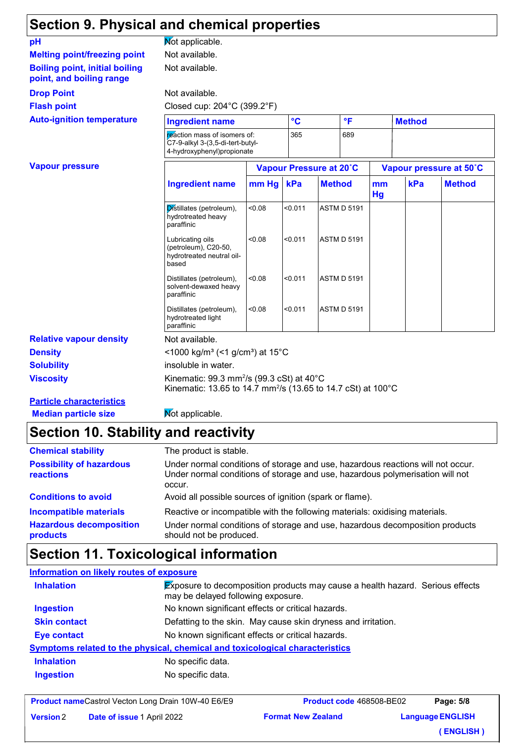## **Section 9. Physical and chemical properties**

| pH                                                                | Mot applicable.                                                                                                                             |        |         |                                      |  |               |     |                         |
|-------------------------------------------------------------------|---------------------------------------------------------------------------------------------------------------------------------------------|--------|---------|--------------------------------------|--|---------------|-----|-------------------------|
| <b>Melting point/freezing point</b>                               | Not available.                                                                                                                              |        |         |                                      |  |               |     |                         |
| <b>Boiling point, initial boiling</b><br>point, and boiling range | Not available.                                                                                                                              |        |         |                                      |  |               |     |                         |
| <b>Drop Point</b>                                                 | Not available.                                                                                                                              |        |         |                                      |  |               |     |                         |
| <b>Flash point</b>                                                | Closed cup: 204°C (399.2°F)                                                                                                                 |        |         |                                      |  |               |     |                         |
| <b>Auto-ignition temperature</b>                                  | <b>Ingredient name</b>                                                                                                                      |        |         | $\circ$ <sub>C</sub><br>$\mathsf{P}$ |  | <b>Method</b> |     |                         |
|                                                                   | reaction mass of isomers of:<br>C7-9-alkyl 3-(3,5-di-tert-butyl-<br>4-hydroxyphenyl)propionate                                              |        | 365     | 689                                  |  |               |     |                         |
| <b>Vapour pressure</b>                                            |                                                                                                                                             |        |         | Vapour Pressure at 20°C              |  |               |     | Vapour pressure at 50°C |
|                                                                   | <b>Ingredient name</b>                                                                                                                      | mm Hg  | kPa     | <b>Method</b>                        |  | mm<br>Hg      | kPa | <b>Method</b>           |
|                                                                   | Distillates (petroleum),<br>hydrotreated heavy<br>paraffinic                                                                                | < 0.08 | < 0.011 | <b>ASTM D 5191</b>                   |  |               |     |                         |
|                                                                   | Lubricating oils<br>(petroleum), C20-50,<br>hydrotreated neutral oil-<br>based                                                              | < 0.08 | < 0.011 | <b>ASTM D 5191</b>                   |  |               |     |                         |
|                                                                   | Distillates (petroleum),<br>solvent-dewaxed heavy<br>paraffinic                                                                             | < 0.08 | < 0.011 | <b>ASTM D 5191</b>                   |  |               |     |                         |
|                                                                   | Distillates (petroleum),<br>hydrotreated light<br>paraffinic                                                                                | < 0.08 | < 0.011 | <b>ASTM D 5191</b>                   |  |               |     |                         |
| <b>Relative vapour density</b>                                    | Not available.                                                                                                                              |        |         |                                      |  |               |     |                         |
| <b>Density</b>                                                    | <1000 kg/m <sup>3</sup> (<1 g/cm <sup>3</sup> ) at 15°C                                                                                     |        |         |                                      |  |               |     |                         |
| <b>Solubility</b>                                                 | insoluble in water.                                                                                                                         |        |         |                                      |  |               |     |                         |
| <b>Viscosity</b>                                                  | Kinematic: 99.3 mm <sup>2</sup> /s (99.3 cSt) at $40^{\circ}$ C<br>Kinematic: 13.65 to 14.7 mm <sup>2</sup> /s (13.65 to 14.7 cSt) at 100°C |        |         |                                      |  |               |     |                         |
| <b>Particle characteristics</b>                                   |                                                                                                                                             |        |         |                                      |  |               |     |                         |
| <b>Median particle size</b>                                       | Mot applicable.                                                                                                                             |        |         |                                      |  |               |     |                         |

# **Section 10. Stability and reactivity**

| <b>Chemical stability</b>                    | The product is stable.                                                                                                                                                     |
|----------------------------------------------|----------------------------------------------------------------------------------------------------------------------------------------------------------------------------|
| <b>Possibility of hazardous</b><br>reactions | Under normal conditions of storage and use, hazardous reactions will not occur.<br>Under normal conditions of storage and use, hazardous polymerisation will not<br>occur. |
| <b>Conditions to avoid</b>                   | Avoid all possible sources of ignition (spark or flame).                                                                                                                   |
| <b>Incompatible materials</b>                | Reactive or incompatible with the following materials: oxidising materials.                                                                                                |
| <b>Hazardous decomposition</b><br>products   | Under normal conditions of storage and use, hazardous decomposition products<br>should not be produced.                                                                    |

## **Section 11. Toxicological information**

#### **Information on likely routes of exposure**

| <b>Inhalation</b>   | <b>Exposure to decomposition products may cause a health hazard. Serious effects</b><br>may be delayed following exposure. |
|---------------------|----------------------------------------------------------------------------------------------------------------------------|
| <b>Ingestion</b>    | No known significant effects or critical hazards.                                                                          |
| <b>Skin contact</b> | Defatting to the skin. May cause skin dryness and irritation.                                                              |
| Eye contact         | No known significant effects or critical hazards.                                                                          |
|                     | <b>Symptoms related to the physical, chemical and toxicological characteristics</b>                                        |
| <b>Inhalation</b>   | No specific data.                                                                                                          |
| <b>Ingestion</b>    | No specific data.                                                                                                          |
|                     |                                                                                                                            |

**Product name** Castrol Vecton Long Drain 10W-40 E6/E9 **Date of issue 1 April 2022 Format New Zealand Product code** 468508-BE02 **Language ENGLISH Page: 5/8 ( ENGLISH ) Version**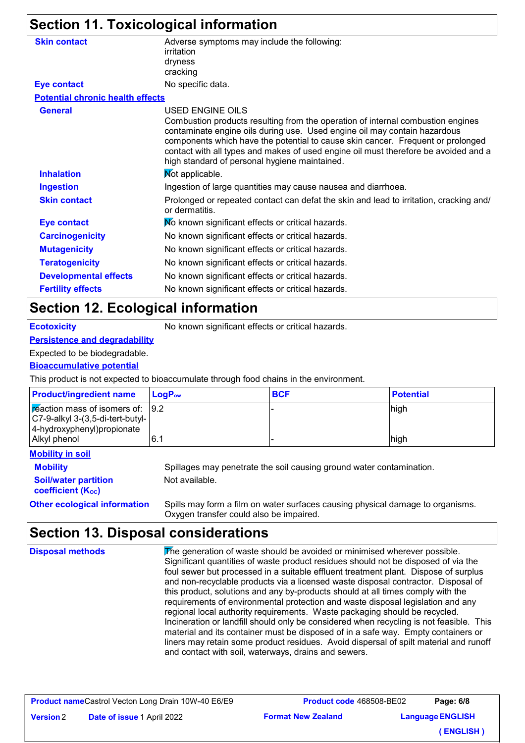## **Section 11. Toxicological information**

| <b>Skin contact</b>                     | Adverse symptoms may include the following:<br>irritation                                                                                                                                                                                                                                                                                                                               |
|-----------------------------------------|-----------------------------------------------------------------------------------------------------------------------------------------------------------------------------------------------------------------------------------------------------------------------------------------------------------------------------------------------------------------------------------------|
|                                         | dryness                                                                                                                                                                                                                                                                                                                                                                                 |
|                                         | cracking                                                                                                                                                                                                                                                                                                                                                                                |
| <b>Eye contact</b>                      | No specific data.                                                                                                                                                                                                                                                                                                                                                                       |
| <b>Potential chronic health effects</b> |                                                                                                                                                                                                                                                                                                                                                                                         |
| <b>General</b>                          | USED ENGINE OILS                                                                                                                                                                                                                                                                                                                                                                        |
|                                         | Combustion products resulting from the operation of internal combustion engines<br>contaminate engine oils during use. Used engine oil may contain hazardous<br>components which have the potential to cause skin cancer. Frequent or prolonged<br>contact with all types and makes of used engine oil must therefore be avoided and a<br>high standard of personal hygiene maintained. |
| <b>Inhalation</b>                       | Mot applicable.                                                                                                                                                                                                                                                                                                                                                                         |
| <b>Ingestion</b>                        | Ingestion of large quantities may cause nausea and diarrhoea.                                                                                                                                                                                                                                                                                                                           |
| <b>Skin contact</b>                     | Prolonged or repeated contact can defat the skin and lead to irritation, cracking and/<br>or dermatitis.                                                                                                                                                                                                                                                                                |
| <b>Eye contact</b>                      | Mo known significant effects or critical hazards.                                                                                                                                                                                                                                                                                                                                       |
| <b>Carcinogenicity</b>                  | No known significant effects or critical hazards.                                                                                                                                                                                                                                                                                                                                       |
| <b>Mutagenicity</b>                     | No known significant effects or critical hazards.                                                                                                                                                                                                                                                                                                                                       |
| <b>Teratogenicity</b>                   | No known significant effects or critical hazards.                                                                                                                                                                                                                                                                                                                                       |
| <b>Developmental effects</b>            | No known significant effects or critical hazards.                                                                                                                                                                                                                                                                                                                                       |
| <b>Fertility effects</b>                | No known significant effects or critical hazards.                                                                                                                                                                                                                                                                                                                                       |
|                                         |                                                                                                                                                                                                                                                                                                                                                                                         |

#### **Section 12. Ecological information**

**Ecotoxicity** No known significant effects or critical hazards.

#### **Persistence and degradability**

#### Expected to be biodegradable.

#### **Bioaccumulative potential**

This product is not expected to bioaccumulate through food chains in the environment.

| <b>Product/ingredient name</b>                                                                                                                                | ∣ LoqP <sub>ow</sub> | <b>BCF</b> | <b>Potential</b> |
|---------------------------------------------------------------------------------------------------------------------------------------------------------------|----------------------|------------|------------------|
| $\sqrt{\mathbf{r}}$ reaction mass of isomers of: $\sqrt{\frac{9.2}{5}}$<br>$ C7-9-alky $ 3-(3,5-di-tert-butyl-<br>4-hydroxyphenyl) propionate<br>Alkyl phenol | 6.7                  |            | high<br>high     |
|                                                                                                                                                               |                      |            |                  |

#### **Mobility in soil**

**Soil/water partition coefficient (K**<sub>oc</sub>)

**Mobility** Spillages may penetrate the soil causing ground water contamination. Not available.

**Other ecological information** Spills may form a film on water surfaces causing physical damage to organisms. Oxygen transfer could also be impaired.

## **Section 13. Disposal considerations**

The generation of waste should be avoided or minimised wherever possible. Significant quantities of waste product residues should not be disposed of via the foul sewer but processed in a suitable effluent treatment plant. Dispose of surplus and non-recyclable products via a licensed waste disposal contractor. Disposal of this product, solutions and any by-products should at all times comply with the requirements of environmental protection and waste disposal legislation and any regional local authority requirements. Waste packaging should be recycled. Incineration or landfill should only be considered when recycling is not feasible. This material and its container must be disposed of in a safe way. Empty containers or liners may retain some product residues. Avoid dispersal of spilt material and runoff and contact with soil, waterways, drains and sewers. **Disposal methods**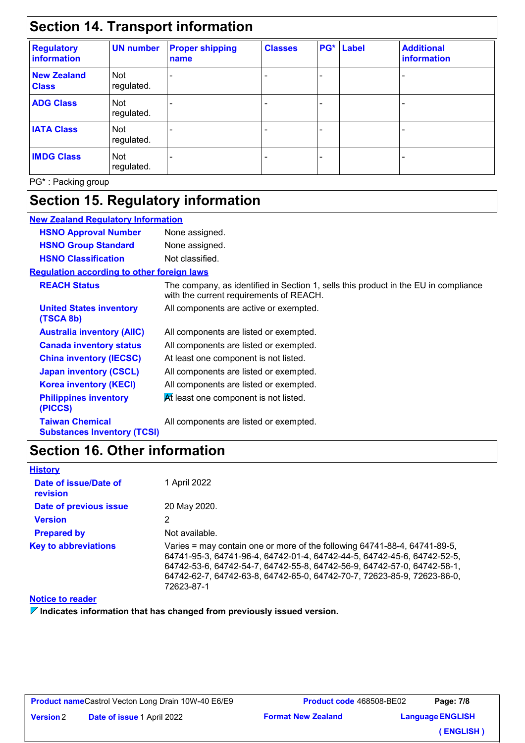## **Section 14. Transport information**

| <b>Regulatory</b><br>information   | <b>UN number</b>         | <b>Proper shipping</b><br>name | <b>Classes</b> | PG* | <b>Label</b> | <b>Additional</b><br>information |
|------------------------------------|--------------------------|--------------------------------|----------------|-----|--------------|----------------------------------|
| <b>New Zealand</b><br><b>Class</b> | <b>Not</b><br>regulated. |                                |                |     |              |                                  |
| <b>ADG Class</b>                   | Not<br>regulated.        |                                |                |     |              |                                  |
| <b>IATA Class</b>                  | Not<br>regulated.        |                                |                |     |              |                                  |
| <b>IMDG Class</b>                  | Not<br>regulated.        |                                |                |     |              |                                  |

PG\* : Packing group

# **Section 15. Regulatory information**

| <b>New Zealand Requlatory Information</b>                    |                                                                                                                                |
|--------------------------------------------------------------|--------------------------------------------------------------------------------------------------------------------------------|
| <b>HSNO Approval Number</b>                                  | None assigned.                                                                                                                 |
| <b>HSNO Group Standard</b>                                   | None assigned.                                                                                                                 |
| <b>HSNO Classification</b>                                   | Not classified.                                                                                                                |
| Requlation according to other foreign laws                   |                                                                                                                                |
| <b>REACH Status</b>                                          | The company, as identified in Section 1, sells this product in the EU in compliance<br>with the current requirements of REACH. |
| <b>United States inventory</b><br>(TSCA 8b)                  | All components are active or exempted.                                                                                         |
| <b>Australia inventory (AIIC)</b>                            | All components are listed or exempted.                                                                                         |
| <b>Canada inventory status</b>                               | All components are listed or exempted.                                                                                         |
| <b>China inventory (IECSC)</b>                               | At least one component is not listed.                                                                                          |
| <b>Japan inventory (CSCL)</b>                                | All components are listed or exempted.                                                                                         |
| <b>Korea inventory (KECI)</b>                                | All components are listed or exempted.                                                                                         |
| <b>Philippines inventory</b><br>(PICCS)                      | At least one component is not listed.                                                                                          |
| <b>Taiwan Chemical</b><br><b>Substances Inventory (TCSI)</b> | All components are listed or exempted.                                                                                         |

## **Section 16. Other information**

| <b>History</b>                    |                                                                                                                                                                                                                                                                                                                          |
|-----------------------------------|--------------------------------------------------------------------------------------------------------------------------------------------------------------------------------------------------------------------------------------------------------------------------------------------------------------------------|
| Date of issue/Date of<br>revision | 1 April 2022                                                                                                                                                                                                                                                                                                             |
| Date of previous issue            | 20 May 2020.                                                                                                                                                                                                                                                                                                             |
| <b>Version</b>                    | 2                                                                                                                                                                                                                                                                                                                        |
| <b>Prepared by</b>                | Not available.                                                                                                                                                                                                                                                                                                           |
| <b>Key to abbreviations</b>       | Varies = may contain one or more of the following 64741-88-4, 64741-89-5,<br>64741-95-3, 64741-96-4, 64742-01-4, 64742-44-5, 64742-45-6, 64742-52-5,<br>64742-53-6, 64742-54-7, 64742-55-8, 64742-56-9, 64742-57-0, 64742-58-1,<br>64742-62-7, 64742-63-8, 64742-65-0, 64742-70-7, 72623-85-9, 72623-86-0,<br>72623-87-1 |

#### **Notice to reader**

**Indicates information that has changed from previously issued version.**